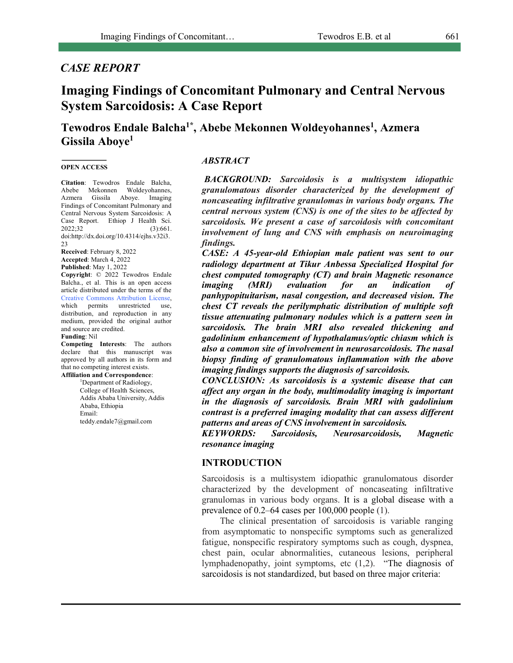# *CASE REPORT*

# **Imaging Findings of Concomitant Pulmonary and Central Nervous System Sarcoidosis: A Case Report**

**Tewodros Endale Balcha1\*, Abebe Mekonnen Woldeyohannes1 , Azmera Gissila Aboye1**

#### **OPEN ACCESS**

**Citation**: Tewodros Endale Balcha, Abebe Mekonnen Woldeyohannes, Azmera Gissila Aboye. Imaging Findings of Concomitant Pulmonary and Central Nervous System Sarcoidosis: A Case Report. Ethiop J Health Sci. 2022;32 (3):661. doi:http://dx.doi.org/10.4314/ejhs.v32i3.  $23$ 

**Received**: February 8, 2022 **Accepted**: March 4, 2022 **Published**: May 1, 2022

**Copyright**: © 2022 Tewodros Endale Balcha., et al. This is an open access article distributed under the terms of the Creative Commons Attribution License, which permits unrestricted use, distribution, and reproduction in any medium, provided the original author and source are credited.

#### **Funding**: Nil

**Competing Interests**: The authors declare that this manuscript was approved by all authors in its form and that no competing interest exists.

## **Affiliation and Correspondence**:

1 Department of Radiology, College of Health Sciences, Addis Ababa University, Addis Ababa, Ethiopia Email: teddy.endale7@gmail.com

### *ABSTRACT*

*BACKGROUND: Sarcoidosis is a multisystem idiopathic granulomatous disorder characterized by the development of noncaseating infiltrative granulomas in various body organs. The central nervous system (CNS) is one of the sites to be affected by sarcoidosis. We present a case of sarcoidosis with concomitant involvement of lung and CNS with emphasis on neuroimaging findings.* 

*CASE: A 45-year-old Ethiopian male patient was sent to our radiology department at Tikur Anbessa Specialized Hospital for chest computed tomography (CT) and brain Magnetic resonance imaging (MRI) evaluation for an indication of panhypopituitarism, nasal congestion, and decreased vision. The chest CT reveals the perilymphatic distribution of multiple soft tissue attenuating pulmonary nodules which is a pattern seen in sarcoidosis. The brain MRI also revealed thickening and gadolinium enhancement of hypothalamus/optic chiasm which is also a common site of involvement in neurosarcoidosis. The nasal biopsy finding of granulomatous inflammation with the above imaging findings supports the diagnosis of sarcoidosis.* 

*CONCLUSION: As sarcoidosis is a systemic disease that can affect any organ in the body, multimodality imaging is important in the diagnosis of sarcoidosis. Brain MRI with gadolinium contrast is a preferred imaging modality that can assess different patterns and areas of CNS involvement in sarcoidosis.* 

*KEYWORDS: Sarcoidosis, Neurosarcoidosis, Magnetic resonance imaging*

## **INTRODUCTION**

Sarcoidosis is a multisystem idiopathic granulomatous disorder characterized by the development of noncaseating infiltrative granulomas in various body organs. It is a global disease with a prevalence of 0.2–64 cases per 100,000 people (1).

The clinical presentation of sarcoidosis is variable ranging from asymptomatic to nonspecific symptoms such as generalized fatigue, nonspecific respiratory symptoms such as cough, dyspnea, chest pain, ocular abnormalities, cutaneous lesions, peripheral lymphadenopathy, joint symptoms, etc (1,2). "The diagnosis of sarcoidosis is not standardized, but based on three major criteria: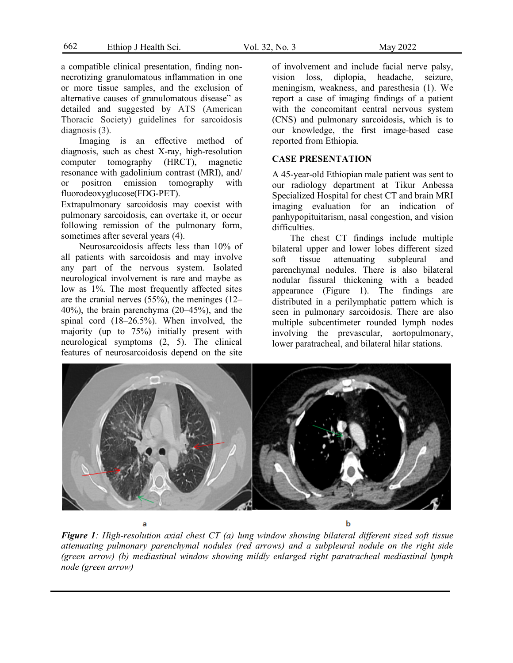a compatible clinical presentation, finding nonnecrotizing granulomatous inflammation in one or more tissue samples, and the exclusion of alternative causes of granulomatous disease" as detailed and suggested by ATS (American Thoracic Society) guidelines for sarcoidosis diagnosis (3).

Imaging is an effective method of diagnosis, such as chest X-ray, high-resolution computer tomography (HRCT), magnetic resonance with gadolinium contrast (MRI), and/ or positron emission tomography with fluorodeoxyglucose(FDG-PET).

Extrapulmonary sarcoidosis may coexist with pulmonary sarcoidosis, can overtake it, or occur following remission of the pulmonary form, sometimes after several years  $(4)$ .

Neurosarcoidosis affects less than 10% of all patients with sarcoidosis and may involve any part of the nervous system. Isolated neurological involvement is rare and maybe as low as 1%. The most frequently affected sites are the cranial nerves (55%), the meninges (12– 40%), the brain parenchyma (20–45%), and the spinal cord (18–26.5%). When involved, the maiority (up to 75%) initially present with neurological symptoms (2, 5). The clinical features of neurosarcoidosis depend on the site of involvement and include facial nerve palsy, vision loss, diplopia, headache, seizure, meningism, weakness, and paresthesia (1). We report a case of imaging findings of a patient with the concomitant central nervous system (CNS) and pulmonary sarcoidosis, which is to our knowledge, the first image-based case reported from Ethiopia.

## **CASE PRESENTATION**

A 45-year-old Ethiopian male patient was sent to our radiology department at Tikur Anbessa Specialized Hospital for chest CT and brain MRI imaging evaluation for an indication of panhypopituitarism, nasal congestion, and vision difficulties.

The chest CT findings include multiple bilateral upper and lower lobes different sized soft tissue attenuating subpleural and parenchymal nodules. There is also bilateral nodular fissural thickening with a beaded appearance (Figure 1). The findings are distributed in a perilymphatic pattern which is seen in pulmonary sarcoidosis. There are also multiple subcentimeter rounded lymph nodes involving the prevascular, aortopulmonary, lower paratracheal, and bilateral hilar stations.

ь *Figure 1: High-resolution axial chest CT (a) lung window showing bilateral different sized soft tissue* 

*attenuating pulmonary parenchymal nodules (red arrows) and a subpleural nodule on the right side (green arrow) (b) mediastinal window showing mildly enlarged right paratracheal mediastinal lymph node (green arrow)*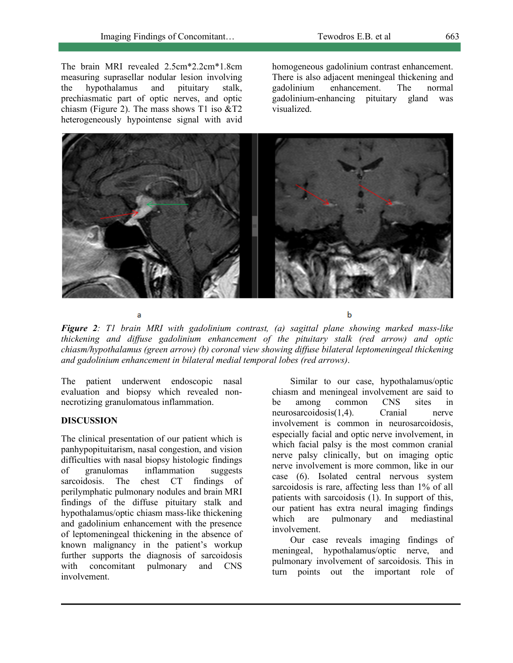The brain MRI revealed 2.5cm\*2.2cm\*1.8cm measuring suprasellar nodular lesion involving the hypothalamus and pituitary stalk, prechiasmatic part of optic nerves, and optic chiasm (Figure 2). The mass shows  $T1$  iso  $&ZT2$ heterogeneously hypointense signal with avid

homogeneous gadolinium contrast enhancement. There is also adjacent meningeal thickening and gadolinium enhancement. The normal gadolinium-enhancing pituitary gland was visualized.



*Figure 2: T1 brain MRI with gadolinium contrast, (a) sagittal plane showing marked mass-like thickening and diffuse gadolinium enhancement of the pituitary stalk (red arrow) and optic chiasm/hypothalamus (green arrow) (b) coronal view showing diffuse bilateral leptomeningeal thickening and gadolinium enhancement in bilateral medial temporal lobes (red arrows)*.

The patient underwent endoscopic nasal evaluation and biopsy which revealed nonnecrotizing granulomatous inflammation.

a

## **DISCUSSION**

The clinical presentation of our patient which is panhypopituitarism, nasal congestion, and vision difficulties with nasal biopsy histologic findings of granulomas inflammation suggests sarcoidosis. The chest CT findings of perilymphatic pulmonary nodules and brain MRI findings of the diffuse pituitary stalk and hypothalamus/optic chiasm mass-like thickening and gadolinium enhancement with the presence of leptomeningeal thickening in the absence of known malignancy in the patient's workup further supports the diagnosis of sarcoidosis with concomitant pulmonary and CNS involvement.

Similar to our case, hypothalamus/optic chiasm and meningeal involvement are said to be among common CNS sites in neurosarcoidosis(1,4). Cranial nerve involvement is common in neurosarcoidosis, especially facial and optic nerve involvement, in which facial palsy is the most common cranial nerve palsy clinically, but on imaging optic nerve involvement is more common, like in our case (6). Isolated central nervous system sarcoidosis is rare, affecting less than 1% of all patients with sarcoidosis (1). In support of this, our patient has extra neural imaging findings which are pulmonary and mediastinal involvement.

 $\mathbf b$ 

Our case reveals imaging findings of meningeal, hypothalamus/optic nerve, and pulmonary involvement of sarcoidosis. This in turn points out the important role of